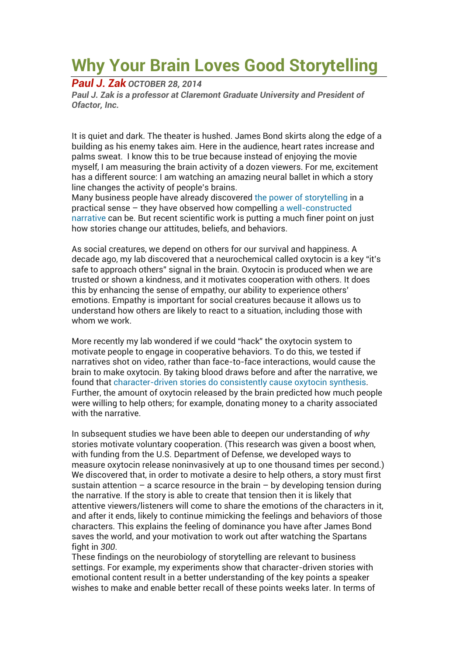## **Why Your Brain Loves Good Storytelling**

*Paul J. Zak OCTOBER 28, 2014* 

*Paul J. Zak is a professor at Claremont Graduate University and President of Ofactor, Inc.* 

It is quiet and dark. The theater is hushed. James Bond skirts along the edge of a building as his enemy takes aim. Here in the audience, heart rates increase and palms sweat. I know this to be true because instead of enjoying the movie myself, I am measuring the brain activity of a dozen viewers. For me, excitement has a different source: I am watching an amazing neural ballet in which a story line changes the activity of people's brains.

Many business people have already discovered the power of storytelling in a practical sense – they have observed how compelling a well-constructed narrative can be. But recent scientific work is putting a much finer point on just how stories change our attitudes, beliefs, and behaviors.

As social creatures, we depend on others for our survival and happiness. A decade ago, my lab discovered that a neurochemical called oxytocin is a key "it's safe to approach others" signal in the brain. Oxytocin is produced when we are trusted or shown a kindness, and it motivates cooperation with others. It does this by enhancing the sense of empathy, our ability to experience others' emotions. Empathy is important for social creatures because it allows us to understand how others are likely to react to a situation, including those with whom we work.

More recently my lab wondered if we could "hack" the oxytocin system to motivate people to engage in cooperative behaviors. To do this, we tested if narratives shot on video, rather than face-to-face interactions, would cause the brain to make oxytocin. By taking blood draws before and after the narrative, we found that character-driven stories do consistently cause oxytocin synthesis. Further, the amount of oxytocin released by the brain predicted how much people were willing to help others; for example, donating money to a charity associated with the narrative.

In subsequent studies we have been able to deepen our understanding of *why* stories motivate voluntary cooperation. (This research was given a boost when, with funding from the U.S. Department of Defense, we developed ways to measure oxytocin release noninvasively at up to one thousand times per second.) We discovered that, in order to motivate a desire to help others, a story must first sustain attention – a scarce resource in the brain – by developing tension during the narrative. If the story is able to create that tension then it is likely that attentive viewers/listeners will come to share the emotions of the characters in it, and after it ends, likely to continue mimicking the feelings and behaviors of those characters. This explains the feeling of dominance you have after James Bond saves the world, and your motivation to work out after watching the Spartans fight in *300*.

These findings on the neurobiology of storytelling are relevant to business settings. For example, my experiments show that character-driven stories with emotional content result in a better understanding of the key points a speaker wishes to make and enable better recall of these points weeks later. In terms of